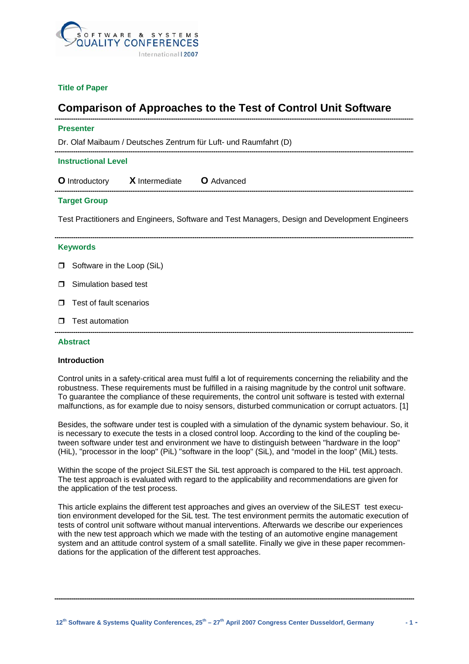

## **Title of Paper**

# **Comparison of Approaches to the Test of Control Unit Software**

| <b>Presenter</b>                                                                               |                                          |
|------------------------------------------------------------------------------------------------|------------------------------------------|
| Dr. Olaf Maibaum / Deutsches Zentrum für Luft- und Raumfahrt (D)                               |                                          |
| <b>Instructional Level</b>                                                                     |                                          |
|                                                                                                | O Introductory X Intermediate O Advanced |
| <b>Target Group</b>                                                                            |                                          |
| Test Practitioners and Engineers, Software and Test Managers, Design and Development Engineers |                                          |
| <b>Keywords</b>                                                                                |                                          |
| $\Box$                                                                                         | Software in the Loop (SiL)               |
| $\Box$                                                                                         | Simulation based test                    |
| $\Box$                                                                                         | Test of fault scenarios                  |
| $\Box$                                                                                         | Test automation                          |
| <b>Abstract</b>                                                                                |                                          |

## **Introduction**

Control units in a safety-critical area must fulfil a lot of requirements concerning the reliability and the robustness. These requirements must be fulfilled in a raising magnitude by the control unit software. To guarantee the compliance of these requirements, the control unit software is tested with external malfunctions, as for example due to noisy sensors, disturbed communication or corrupt actuators. [1]

Besides, the software under test is coupled with a simulation of the dynamic system behaviour. So, it is necessary to execute the tests in a closed control loop. According to the kind of the coupling between software under test and environment we have to distinguish between "hardware in the loop" (HiL), "processor in the loop" (PiL) "software in the loop" (SiL), and "model in the loop" (MiL) tests.

Within the scope of the project SiLEST the SiL test approach is compared to the HiL test approach. The test approach is evaluated with regard to the applicability and recommendations are given for the application of the test process.

This article explains the different test approaches and gives an overview of the SiLEST test execution environment developed for the SiL test. The test environment permits the automatic execution of tests of control unit software without manual interventions. Afterwards we describe our experiences with the new test approach which we made with the testing of an automotive engine management system and an attitude control system of a small satellite. Finally we give in these paper recommendations for the application of the different test approaches.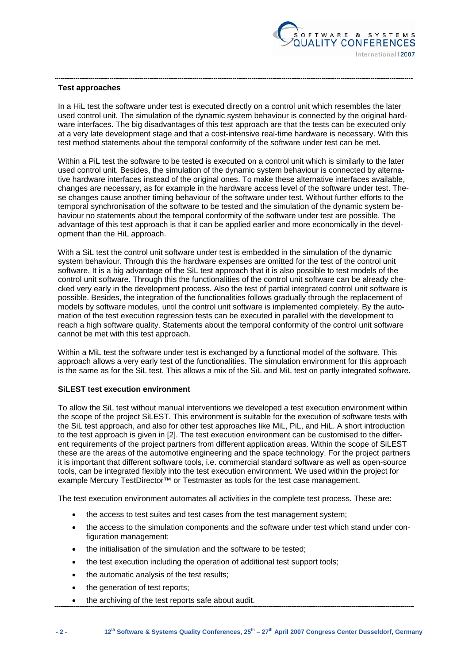

## **Test approaches**

In a HiL test the software under test is executed directly on a control unit which resembles the later used control unit. The simulation of the dynamic system behaviour is connected by the original hardware interfaces. The big disadvantages of this test approach are that the tests can be executed only at a very late development stage and that a cost-intensive real-time hardware is necessary. With this test method statements about the temporal conformity of the software under test can be met.

Within a PiL test the software to be tested is executed on a control unit which is similarly to the later used control unit. Besides, the simulation of the dynamic system behaviour is connected by alternative hardware interfaces instead of the original ones. To make these alternative interfaces available, changes are necessary, as for example in the hardware access level of the software under test. These changes cause another timing behaviour of the software under test. Without further efforts to the temporal synchronisation of the software to be tested and the simulation of the dynamic system behaviour no statements about the temporal conformity of the software under test are possible. The advantage of this test approach is that it can be applied earlier and more economically in the development than the HiL approach.

With a SiL test the control unit software under test is embedded in the simulation of the dynamic system behaviour. Through this the hardware expenses are omitted for the test of the control unit software. It is a big advantage of the SiL test approach that it is also possible to test models of the control unit software. Through this the functionalities of the control unit software can be already checked very early in the development process. Also the test of partial integrated control unit software is possible. Besides, the integration of the functionalities follows gradually through the replacement of models by software modules, until the control unit software is implemented completely. By the automation of the test execution regression tests can be executed in parallel with the development to reach a high software quality. Statements about the temporal conformity of the control unit software cannot be met with this test approach.

Within a MiL test the software under test is exchanged by a functional model of the software. This approach allows a very early test of the functionalities. The simulation environment for this approach is the same as for the SiL test. This allows a mix of the SiL and MiL test on partly integrated software.

### **SiLEST test execution environment**

To allow the SiL test without manual interventions we developed a test execution environment within the scope of the project SiLEST. This environment is suitable for the execution of software tests with the SiL test approach, and also for other test approaches like MiL, PiL, and HiL. A short introduction to the test approach is given in [2]. The test execution environment can be customised to the different requirements of the project partners from different application areas. Within the scope of SiLEST these are the areas of the automotive engineering and the space technology. For the project partners it is important that different software tools, i.e. commercial standard software as well as open-source tools, can be integrated flexibly into the test execution environment. We used within the project for example Mercury TestDirector™ or Testmaster as tools for the test case management.

The test execution environment automates all activities in the complete test process. These are:

- the access to test suites and test cases from the test management system;
- the access to the simulation components and the software under test which stand under configuration management;
- the initialisation of the simulation and the software to be tested;
- the test execution including the operation of additional test support tools;
- the automatic analysis of the test results;
- the generation of test reports;
- the archiving of the test reports safe about audit.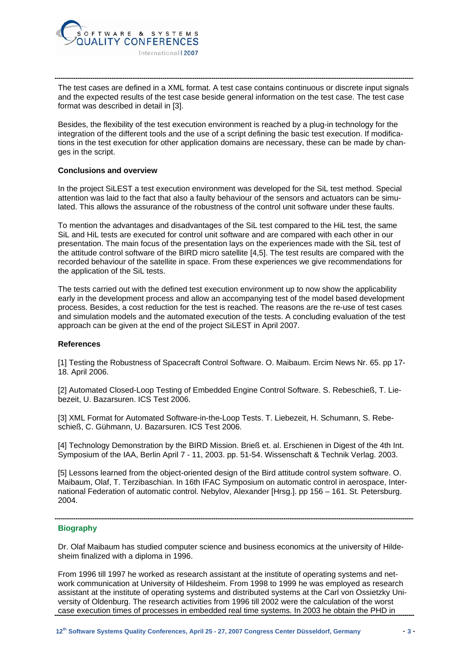

The test cases are defined in a XML format. A test case contains continuous or discrete input signals and the expected results of the test case beside general information on the test case. The test case format was described in detail in [3].

Besides, the flexibility of the test execution environment is reached by a plug-in technology for the integration of the different tools and the use of a script defining the basic test execution. If modifications in the test execution for other application domains are necessary, these can be made by changes in the script.

### **Conclusions and overview**

In the project SiLEST a test execution environment was developed for the SiL test method. Special attention was laid to the fact that also a faulty behaviour of the sensors and actuators can be simulated. This allows the assurance of the robustness of the control unit software under these faults.

To mention the advantages and disadvantages of the SiL test compared to the HiL test, the same SiL and HiL tests are executed for control unit software and are compared with each other in our presentation. The main focus of the presentation lays on the experiences made with the SiL test of the attitude control software of the BIRD micro satellite [4,5]. The test results are compared with the recorded behaviour of the satellite in space. From these experiences we give recommendations for the application of the SiL tests.

The tests carried out with the defined test execution environment up to now show the applicability early in the development process and allow an accompanying test of the model based development process. Besides, a cost reduction for the test is reached. The reasons are the re-use of test cases and simulation models and the automated execution of the tests. A concluding evaluation of the test approach can be given at the end of the project SiLEST in April 2007.

## **References**

[1] Testing the Robustness of Spacecraft Control Software. O. Maibaum. Ercim News Nr. 65. pp 17- 18. April 2006.

[2] Automated Closed-Loop Testing of Embedded Engine Control Software. S. Rebeschieß, T. Liebezeit, U. Bazarsuren. ICS Test 2006.

[3] XML Format for Automated Software-in-the-Loop Tests. T. Liebezeit, H. Schumann, S. Rebeschieß, C. Gühmann, U. Bazarsuren. ICS Test 2006.

[4] Technology Demonstration by the BIRD Mission. Brieß et. al. Erschienen in Digest of the 4th Int. Symposium of the IAA, Berlin April 7 - 11, 2003. pp. 51-54. Wissenschaft & Technik Verlag. 2003.

[5] Lessons learned from the object-oriented design of the Bird attitude control system software. O. Maibaum, Olaf, T. Terzibaschian. In 16th IFAC Symposium on automatic control in aerospace, International Federation of automatic control. Nebylov, Alexander [Hrsg.]. pp 156 – 161. St. Petersburg. 2004.

### **Biography**

Dr. Olaf Maibaum has studied computer science and business economics at the university of Hildesheim finalized with a diploma in 1996.

From 1996 till 1997 he worked as research assistant at the institute of operating systems and network communication at University of Hildesheim. From 1998 to 1999 he was employed as research assistant at the institute of operating systems and distributed systems at the Carl von Ossietzky University of Oldenburg. The research activities from 1996 till 2002 were the calculation of the worst case execution times of processes in embedded real time systems. In 2003 he obtain the PHD in